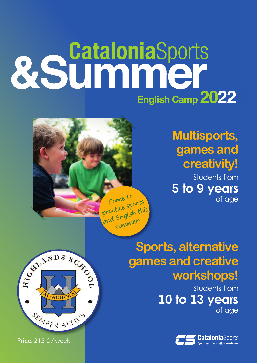## &Summer English Camp 2022

Come to practice sports and English this

summer!

## **Multisports, games and creativity!**

Students from **5 to 9 years** of age

**Sports, alternative games and creative workshops!**

> Students from **10 to 13 years** of age





Price: 215 € / week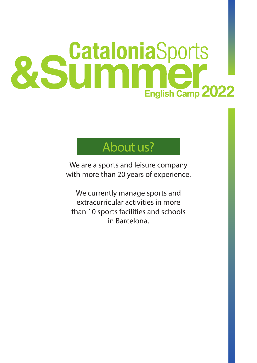## &Summer English Camp 2022

### About us?

We are a sports and leisure company with more than 20 years of experience.

We currently manage sports and extracurricular activities in more than 10 sports facilities and schools in Barcelona.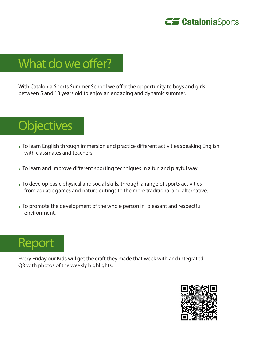

## What do we offer?

With Catalonia Sports Summer School we offer the opportunity to boys and girls between 5 and 13 years old to enjoy an engaging and dynamic summer.

## **Objectives**

- · To learn English through immersion and practice different activities speaking English with classmates and teachers.
- · To learn and improve different sporting techniques in a fun and playful way.
- · To develop basic physical and social skills, through a range of sports activities from aquatic games and nature outings to the more traditional and alternative.
- · To promote the development of the whole person in pleasant and respectful environment.



Every Friday our Kids will get the craft they made that week with and integrated QR with photos of the weekly highlights.

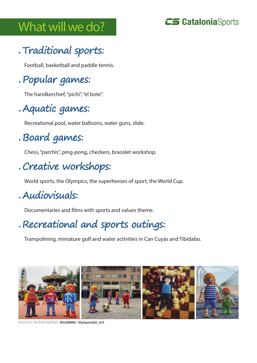## What will we do?



#### · Traditional sports:

Football, basketball and paddle tennis.

#### · Popular games:

The handkerchief, "pichi", "el bote".

#### · Aquatic games:

Recreational pool, water balloons, water guns, slide.

#### · Board games:

Chess, "parchís", ping-pong, checkers, bracelet workshop.

#### · Creative workshops:

World sports, the Olympics, the superheroes of sport, the World Cup.

#### · Audiovisuals:

Documentaries and films with sports and values theme.

#### · Recreational and sports outings:

Trampolining, miniature golf and water activities in Can Cuyás and Tibidabo.



PHOTOS ON INSTAGRAM: @toti6869 i @playmobil\_mrt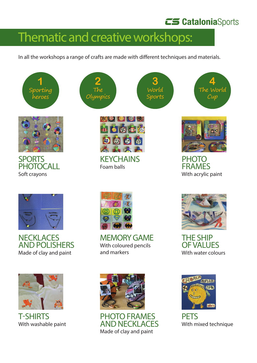#### **CS Catalonia**Sports

### Thematic and creative workshops:

In all the workshops a range of crafts are made with different techniques and materials.

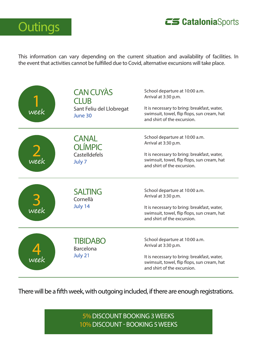



This information can vary depending on the current situation and availability of facilities. In the event that activities cannot be fulfilled due to Covid, alternative excursions will take place.



There will be a fifth week, with outgoing included, if there are enough registrations.

5% DISCOUNT BOOKING 3 WEEKS 10% DISCOUNT - BOOKING 5 WEEKS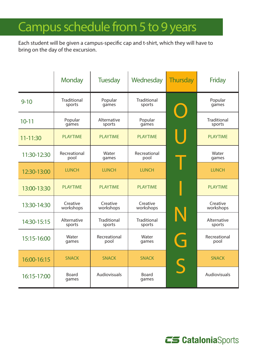## Campus schedule from 5 to 9 years

Each student will be given a campus-specific cap and t-shirt, which they will have to bring on the day of the excursion.

|             | <b>Monday</b>                | <b>Tuesday</b>        | Wednesday                    | <b>Thursday</b> | <b>Friday</b>                |
|-------------|------------------------------|-----------------------|------------------------------|-----------------|------------------------------|
| $9 - 10$    | <b>Traditional</b><br>sports | Popular<br>games      | <b>Traditional</b><br>sports |                 | Popular<br>games             |
| $10 - 11$   | Popular<br>games             | Alternative<br>sports | Popular<br>games             |                 | <b>Traditional</b><br>sports |
| 11-11:30    | <b>PLAYTIME</b>              | <b>PLAYTIME</b>       | <b>PLAYTIME</b>              |                 | <b>PLAYTIME</b>              |
| 11:30-12:30 | Recreational<br>pool         | Water<br>games        | Recreational<br>pool         |                 | Water<br>games               |
| 12:30-13:00 | <b>LUNCH</b>                 | <b>LUNCH</b>          | <b>LUNCH</b>                 |                 | <b>LUNCH</b>                 |
| 13:00-13:30 | <b>PLAYTIME</b>              | <b>PLAYTIME</b>       | <b>PLAYTIME</b>              |                 | <b>PLAYTIME</b>              |
| 13:30-14:30 | Creative<br>workshops        | Creative<br>workshops | Creative<br>workshops        |                 | Creative<br>workshops        |
| 14:30-15:15 | Alternative<br>sports        | Traditional<br>sports | Traditional<br>sports        | N               | Alternative<br>sports        |
| 15:15-16:00 | Water<br>games               | Recreational<br>pool  | Water<br>games               | Ĥ               | Recreational<br>pool         |
| 16:00-16:15 | <b>SNACK</b>                 | <b>SNACK</b>          | <b>SNACK</b>                 | S               | <b>SNACK</b>                 |
| 16:15-17:00 | <b>Board</b><br>games        | Audiovisuals          | <b>Board</b><br>games        |                 | Audiovisuals                 |

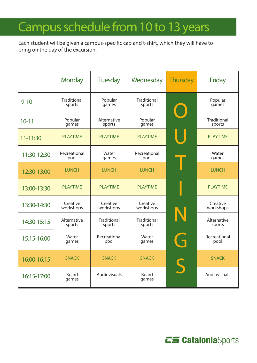## Campus schedule from 10 to 13 years

Each student will be given a campus-specific cap and t-shirt, which they will have to bring on the day of the excursion.

|             | <b>Monday</b>                | <b>Tuesday</b>        | Wednesday                    | <b>Thursday</b> | <b>Friday</b>                |
|-------------|------------------------------|-----------------------|------------------------------|-----------------|------------------------------|
| $9 - 10$    | <b>Traditional</b><br>sports | Popular<br>games      | <b>Traditional</b><br>sports |                 | Popular<br>games             |
| $10 - 11$   | Popular<br>games             | Alternative<br>sports | Popular<br>games             |                 | <b>Traditional</b><br>sports |
| 11-11:30    | <b>PLAYTIME</b>              | <b>PLAYTIME</b>       | <b>PLAYTIME</b>              |                 | <b>PLAYTIME</b>              |
| 11:30-12:30 | Recreational<br>pool         | Water<br>games        | Recreational<br>pool         |                 | Water<br>games               |
| 12:30-13:00 | <b>LUNCH</b>                 | <b>LUNCH</b>          | <b>LUNCH</b>                 |                 | <b>LUNCH</b>                 |
| 13:00-13:30 | <b>PLAYTIME</b>              | <b>PLAYTIME</b>       | <b>PLAYTIME</b>              |                 | <b>PLAYTIME</b>              |
| 13:30-14:30 | Creative<br>workshops        | Creative<br>workshops | Creative<br>workshops        |                 | Creative<br>workshops        |
| 14:30-15:15 | Alternative<br>sports        | Traditional<br>sports | Traditional<br>sports        | N               | Alternative<br>sports        |
| 15:15-16:00 | Water<br>games               | Recreational<br>pool  | Water<br>games               | Ĥ               | Recreational<br>pool         |
| 16:00-16:15 | <b>SNACK</b>                 | <b>SNACK</b>          | <b>SNACK</b>                 | S               | <b>SNACK</b>                 |
| 16:15-17:00 | <b>Board</b><br>games        | Audiovisuals          | <b>Board</b><br>games        |                 | Audiovisuals                 |

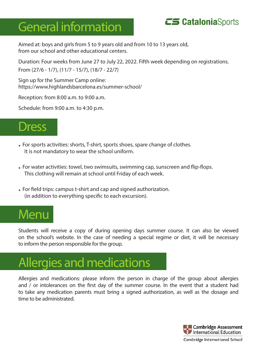## General information



Aimed at: boys and girls from 5 to 9 years old and from 10 to 13 years old, from our school and other educational centers.

Duration: Four weeks from June 27 to July 22, 2022. Fifth week depending on registrations. From (27/6 - 1/7), (11/7 - 15/7), (18/7 - 22/7)

Sign up for the Summer Camp online: https://www.highlandsbarcelona.es/summer-school/

Reception: from 8:00 a.m. to 9:00 a.m.

Schedule: from 9:00 a.m. to 4:30 p.m.



- · For sports activities: shorts, T-shirt, sports shoes, spare change of clothes. It is not mandatory to wear the school uniform.
- · For water activities: towel, two swimsuits, swimming cap, sunscreen and flip-flops. This clothing will remain at school until Friday of each week.
- · For field trips: campus t-shirt and cap and signed authorization. (in addition to everything specific to each excursion).

## **Menu**

Students will receive a copy of during opening days summer course. It can also be viewed on the school's website. In the case of needing a special regime or diet, it will be necessary to inform the person responsible for the group.

## Allergies and medications

Allergies and medications: please inform the person in charge of the group about allergies and / or intolerances on the first day of the summer course. In the event that a student had to take any medication parents must bring a signed authorization, as well as the dosage and time to be administrated.

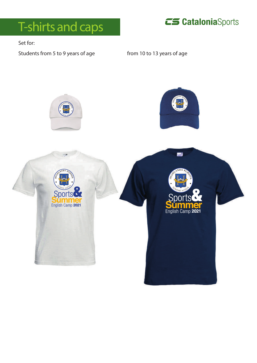



Set for:

Students from 5 to 9 years of age from 10 to 13 years of age

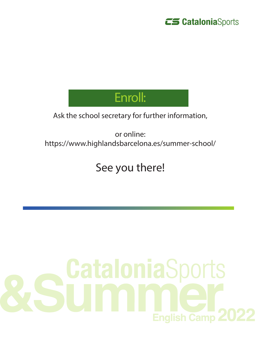

## Enroll:

#### Ask the school secretary for further information,

or online: https://www.highlandsbarcelona.es/summer-school/

#### See you there!

# CataloniaSports **English Camp 2**